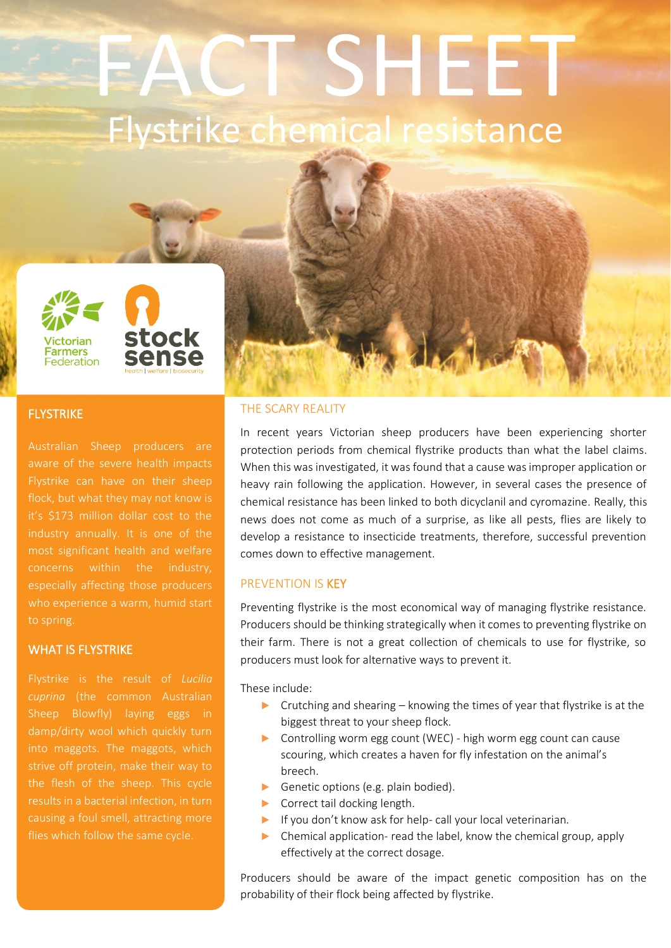# FACT SHEET Flystrike chemical resistance





## **FLYSTRIKE**

Australian Sheep producers are aware of the severe health impacts it's \$173 million dollar cost to the most significant health and welfare who experience a warm, humid start to spring.

#### WHAT IS FLYSTRIKE

Flystrike is the result of *Lucilia cuprina* (the common Australian Sheep Blowfly) laying eggs in damp/dirty wool which quickly turn into maggots. The maggots, which the flesh of the sheep. This cycle causing a foul smell, attracting more flies which follow the same cycle.

#### THE SCARY REALITY

In recent years Victorian sheep producers have been experiencing shorter protection periods from chemical flystrike products than what the label claims. When this was investigated, it was found that a cause was improper application or heavy rain following the application. However, in several cases the presence of chemical resistance has been linked to both dicyclanil and cyromazine. Really, this news does not come as much of a surprise, as like all pests, flies are likely to develop a resistance to insecticide treatments, therefore, successful prevention comes down to effective management.

#### PREVENTION IS KEY

Preventing flystrike is the most economical way of managing flystrike resistance. Producers should be thinking strategically when it comes to preventing flystrike on their farm. There is not a great collection of chemicals to use for flystrike, so producers must look for alternative ways to prevent it.

These include:

- $\triangleright$  Crutching and shearing knowing the times of year that flystrike is at the biggest threat to your sheep flock.
- ► Controlling worm egg count (WEC) high worm egg count can cause scouring, which creates a haven for fly infestation on the animal's breech.
- ► Genetic options (e.g. plain bodied).
- ► Correct tail docking length.
- ► If you don't know ask for help- call your local veterinarian.
- ► Chemical application- read the label, know the chemical group, apply effectively at the correct dosage.

Producers should be aware of the impact genetic composition has on the probability of their flock being affected by flystrike.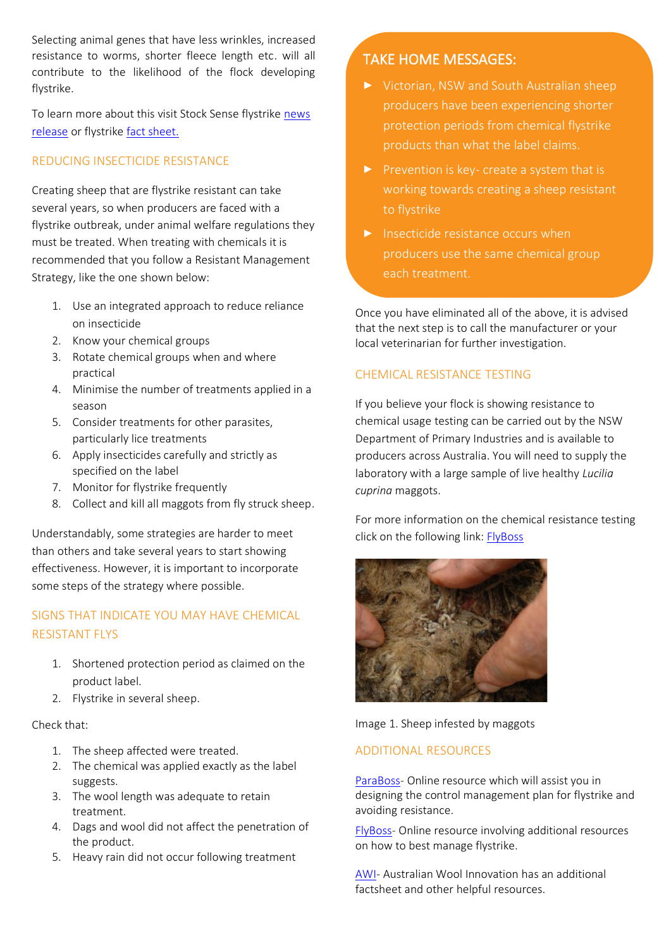Selecting animal genes that have less wrinkles, increased resistance to worms, shorter fleece length etc. will all contribute to the likelihood of the flock developing flystrike.

To learn more about this visit Stock Sense flystrike news [release](https://bit.ly/311fddK) or flystrike [fact sheet.](https://bit.ly/3rahaix)

## REDUCING INSECTICIDE RESISTANCE

Creating sheep that are flystrike resistant can take several years, so when producers are faced with a flystrike outbreak, under animal welfare regulations they must be treated. When treating with chemicals it is recommended that you follow a Resistant Management Strategy, like the one shown below:

- 1. Use an integrated approach to reduce reliance on insecticide
- 2. Know your chemical groups
- 3. Rotate chemical groups when and where practical
- 4. Minimise the number of treatments applied in a season
- 5. Consider treatments for other parasites, particularly lice treatments
- 6. Apply insecticides carefully and strictly as specified on the label
- 7. Monitor for flystrike frequently
- 8. Collect and kill all maggots from fly struck sheep.

Understandably, some strategies are harder to meet than others and take several years to start showing effectiveness. However, it is important to incorporate some steps of the strategy where possible.

## SIGNS THAT INDICATE YOU MAY HAVE CHEMICAL RESISTANT FLYS

- 1. Shortened protection period as claimed on the product label.
- 2. Flystrike in several sheep.

#### Check that:

- 1. The sheep affected were treated.
- 2. The chemical was applied exactly as the label suggests.
- 3. The wool length was adequate to retain treatment.
- 4. Dags and wool did not affect the penetration of the product.
- 5. Heavy rain did not occur following treatment

## TAKE HOME MESSAGES:

- Victorian, NSW and South Australian sheep producers have been experiencing shorter protection periods from chemical flystrike products than what the label claims.
- $\blacktriangleright$  Prevention is key- create a system that is working towards creating a sheep resistant to flystrike
- $\blacktriangleright$  Insecticide resistance occurs when producers use the same chemical group each treatment.

Once you have eliminated all of the above, it is advised that the next step is to call the manufacturer or your local veterinarian for further investigation.

## CHEMICAL RESISTANCE TESTING

If you believe your flock is showing resistance to chemical usage testing can be carried out by the NSW Department of Primary Industries and is available to producers across Australia. You will need to supply the laboratory with a large sample of live healthy *Lucilia cuprina* maggots.

For more information on the chemical resistance testing click on the following link: [FlyBoss](https://bit.ly/310HPmS)



Image 1. Sheep infested by maggots

## ADDITIONAL RESOURCES

[ParaBoss-](https://bit.ly/3r7dFJX) Online resource which will assist you in designing the control management plan for flystrike and avoiding resistance.

[FlyBoss-](https://bit.ly/3FNEpmH) Online resource involving additional resources on how to best manage flystrike.

[AWI-](https://www.wool.com/sheep/welfare/breech-flystrike/flystrikeresources/) Australian Wool Innovation has an additional factsheet and other helpful resources.